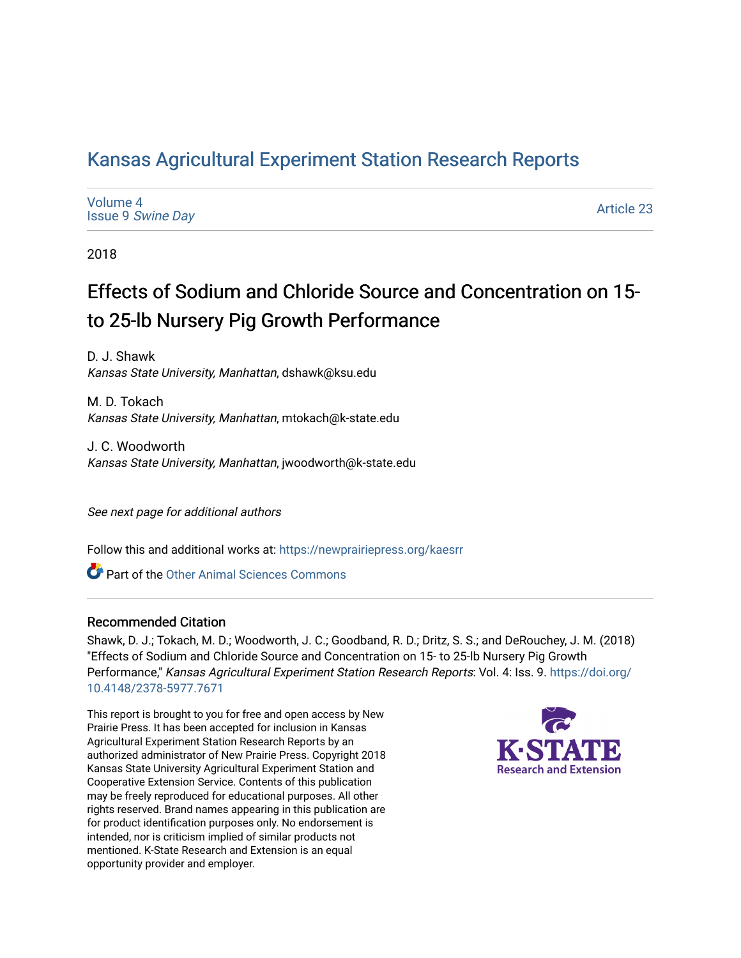## [Kansas Agricultural Experiment Station Research Reports](https://newprairiepress.org/kaesrr)

[Volume 4](https://newprairiepress.org/kaesrr/vol4) Issue 9 [Swine Day](https://newprairiepress.org/kaesrr/vol4/iss9)

[Article 23](https://newprairiepress.org/kaesrr/vol4/iss9/23) 

2018

## Effects of Sodium and Chloride Source and Concentration on 15 to 25-lb Nursery Pig Growth Performance

D. J. Shawk Kansas State University, Manhattan, dshawk@ksu.edu

M. D. Tokach Kansas State University, Manhattan, mtokach@k-state.edu

J. C. Woodworth Kansas State University, Manhattan, jwoodworth@k-state.edu

See next page for additional authors

Follow this and additional works at: [https://newprairiepress.org/kaesrr](https://newprairiepress.org/kaesrr?utm_source=newprairiepress.org%2Fkaesrr%2Fvol4%2Fiss9%2F23&utm_medium=PDF&utm_campaign=PDFCoverPages) 

**C** Part of the [Other Animal Sciences Commons](http://network.bepress.com/hgg/discipline/82?utm_source=newprairiepress.org%2Fkaesrr%2Fvol4%2Fiss9%2F23&utm_medium=PDF&utm_campaign=PDFCoverPages)

### Recommended Citation

Shawk, D. J.; Tokach, M. D.; Woodworth, J. C.; Goodband, R. D.; Dritz, S. S.; and DeRouchey, J. M. (2018) "Effects of Sodium and Chloride Source and Concentration on 15- to 25-lb Nursery Pig Growth Performance," Kansas Agricultural Experiment Station Research Reports: Vol. 4: Iss. 9. [https://doi.org/](https://doi.org/10.4148/2378-5977.7671) [10.4148/2378-5977.7671](https://doi.org/10.4148/2378-5977.7671)

This report is brought to you for free and open access by New Prairie Press. It has been accepted for inclusion in Kansas Agricultural Experiment Station Research Reports by an authorized administrator of New Prairie Press. Copyright 2018 Kansas State University Agricultural Experiment Station and Cooperative Extension Service. Contents of this publication may be freely reproduced for educational purposes. All other rights reserved. Brand names appearing in this publication are for product identification purposes only. No endorsement is intended, nor is criticism implied of similar products not mentioned. K-State Research and Extension is an equal opportunity provider and employer.

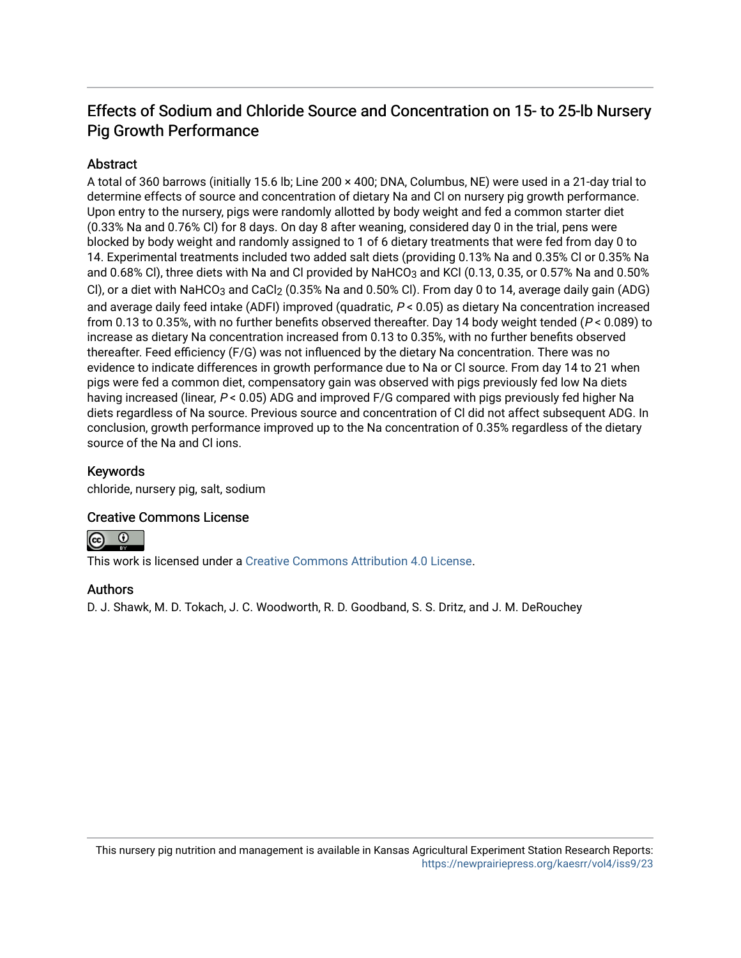## Effects of Sodium and Chloride Source and Concentration on 15- to 25-lb Nursery Pig Growth Performance

### **Abstract**

A total of 360 barrows (initially 15.6 lb; Line 200 × 400; DNA, Columbus, NE) were used in a 21-day trial to determine effects of source and concentration of dietary Na and Cl on nursery pig growth performance. Upon entry to the nursery, pigs were randomly allotted by body weight and fed a common starter diet (0.33% Na and 0.76% Cl) for 8 days. On day 8 after weaning, considered day 0 in the trial, pens were blocked by body weight and randomly assigned to 1 of 6 dietary treatments that were fed from day 0 to 14. Experimental treatments included two added salt diets (providing 0.13% Na and 0.35% Cl or 0.35% Na and 0.68% Cl), three diets with Na and Cl provided by NaHCO3 and KCl (0.13, 0.35, or 0.57% Na and 0.50% Cl), or a diet with NaHCO<sub>3</sub> and CaCl<sub>2</sub> (0.35% Na and 0.50% Cl). From day 0 to 14, average daily gain (ADG) and average daily feed intake (ADFI) improved (quadratic,  $P < 0.05$ ) as dietary Na concentration increased from 0.13 to 0.35%, with no further benefits observed thereafter. Day 14 body weight tended (P < 0.089) to increase as dietary Na concentration increased from 0.13 to 0.35%, with no further benefits observed thereafter. Feed efficiency (F/G) was not influenced by the dietary Na concentration. There was no evidence to indicate differences in growth performance due to Na or Cl source. From day 14 to 21 when pigs were fed a common diet, compensatory gain was observed with pigs previously fed low Na diets having increased (linear,  $P < 0.05$ ) ADG and improved F/G compared with pigs previously fed higher Na diets regardless of Na source. Previous source and concentration of Cl did not affect subsequent ADG. In conclusion, growth performance improved up to the Na concentration of 0.35% regardless of the dietary source of the Na and Cl ions.

### Keywords

chloride, nursery pig, salt, sodium

### Creative Commons License



This work is licensed under a [Creative Commons Attribution 4.0 License](https://creativecommons.org/licenses/by/4.0/).

### Authors

D. J. Shawk, M. D. Tokach, J. C. Woodworth, R. D. Goodband, S. S. Dritz, and J. M. DeRouchey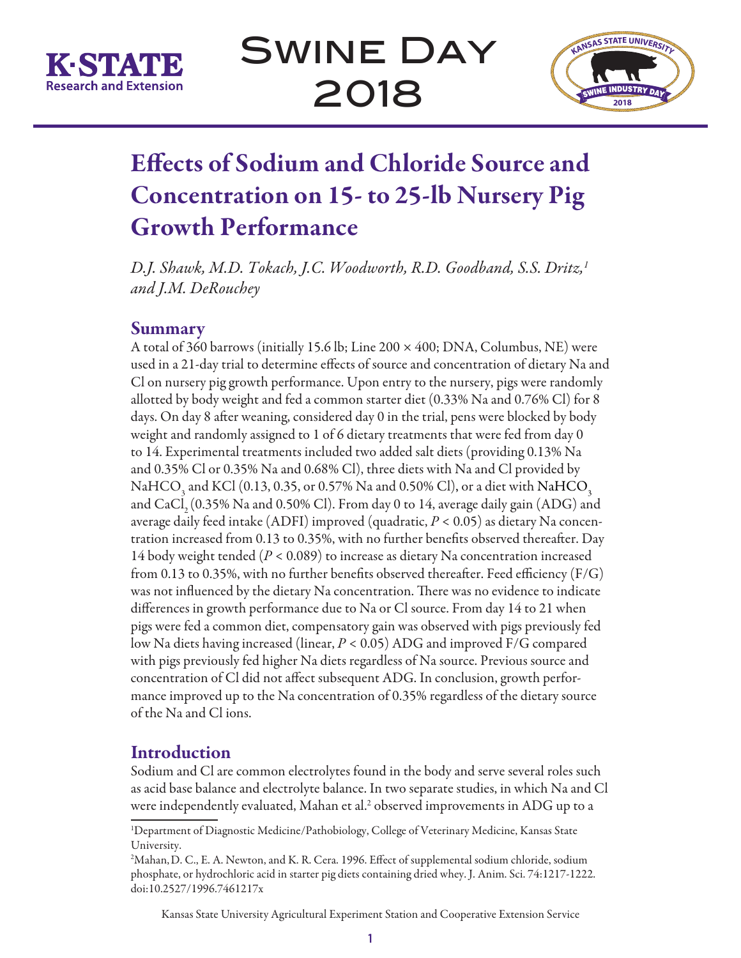

Swine Day 2018



# Effects of Sodium and Chloride Source and Concentration on 15- to 25-lb Nursery Pig Growth Performance

*D.J. Shawk, M.D. Tokach, J.C. Woodworth, R.D. Goodband, S.S. Dritz,1 and J.M. DeRouchey*

### **Summary**

A total of 360 barrows (initially 15.6 lb; Line 200  $\times$  400; DNA, Columbus, NE) were used in a 21-day trial to determine effects of source and concentration of dietary Na and Cl on nursery pig growth performance. Upon entry to the nursery, pigs were randomly allotted by body weight and fed a common starter diet (0.33% Na and 0.76% Cl) for 8 days. On day 8 after weaning, considered day 0 in the trial, pens were blocked by body weight and randomly assigned to 1 of 6 dietary treatments that were fed from day 0 to 14. Experimental treatments included two added salt diets (providing 0.13% Na and 0.35% Cl or 0.35% Na and 0.68% Cl), three diets with Na and Cl provided by NaHCO<sub>3</sub> and KCl (0.13, 0.35, or 0.57% Na and 0.50% Cl), or a diet with NaHCO<sub>3</sub> and CaCl<sub>2</sub> (0.35% Na and 0.50% Cl). From day 0 to 14, average daily gain (ADG) and average daily feed intake (ADFI) improved (quadratic, *P* < 0.05) as dietary Na concentration increased from 0.13 to 0.35%, with no further benefits observed thereafter. Day 14 body weight tended (*P* < 0.089) to increase as dietary Na concentration increased from 0.13 to 0.35%, with no further benefits observed thereafter. Feed efficiency  $(F/G)$ was not influenced by the dietary Na concentration. There was no evidence to indicate differences in growth performance due to Na or Cl source. From day 14 to 21 when pigs were fed a common diet, compensatory gain was observed with pigs previously fed low Na diets having increased (linear, *P* < 0.05) ADG and improved F/G compared with pigs previously fed higher Na diets regardless of Na source. Previous source and concentration of Cl did not affect subsequent ADG. In conclusion, growth performance improved up to the Na concentration of 0.35% regardless of the dietary source of the Na and Cl ions.

### **Introduction**

Sodium and Cl are common electrolytes found in the body and serve several roles such as acid base balance and electrolyte balance. In two separate studies, in which Na and Cl were independently evaluated, Mahan et al.<sup>2</sup> observed improvements in ADG up to a

Kansas State University Agricultural Experiment Station and Cooperative Extension Service

<sup>1</sup> Department of Diagnostic Medicine/Pathobiology, College of Veterinary Medicine, Kansas State University.

<sup>2</sup> Mahan,D. C., E. A. Newton, and K. R. Cera. 1996. Effect of supplemental sodium chloride, sodium phosphate, or hydrochloric acid in starter pig diets containing dried whey. J. Anim. Sci. 74:1217-1222. doi:10.2527/1996.7461217x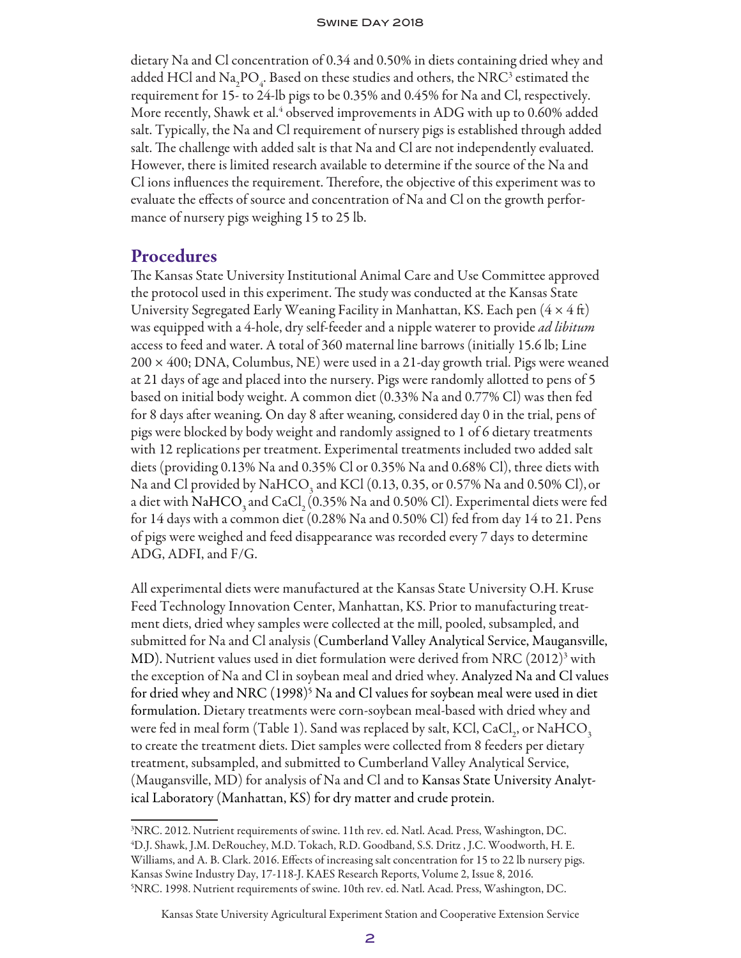dietary Na and Cl concentration of 0.34 and 0.50% in diets containing dried whey and added HCl and  $\text{Na}_2\text{PO}_4$ . Based on these studies and others, the NRC<sup>3</sup> estimated the requirement for 15- to 24-lb pigs to be 0.35% and 0.45% for Na and Cl, respectively. More recently, Shawk et al. $\rm ^4$  observed improvements in ADG with up to 0.60% added salt. Typically, the Na and Cl requirement of nursery pigs is established through added salt. The challenge with added salt is that Na and Cl are not independently evaluated. However, there is limited research available to determine if the source of the Na and Cl ions influences the requirement. Therefore, the objective of this experiment was to evaluate the effects of source and concentration of Na and Cl on the growth performance of nursery pigs weighing 15 to 25 lb.

### **Procedures**

The Kansas State University Institutional Animal Care and Use Committee approved the protocol used in this experiment. The study was conducted at the Kansas State University Segregated Early Weaning Facility in Manhattan, KS. Each pen  $(4 \times 4 \text{ ft})$ was equipped with a 4-hole, dry self-feeder and a nipple waterer to provide *ad libitum* access to feed and water. A total of 360 maternal line barrows (initially 15.6 lb; Line  $200 \times 400$ ; DNA, Columbus, NE) were used in a 21-day growth trial. Pigs were weaned at 21 days of age and placed into the nursery. Pigs were randomly allotted to pens of 5 based on initial body weight. A common diet (0.33% Na and 0.77% Cl) was then fed for 8 days after weaning. On day 8 after weaning, considered day 0 in the trial, pens of pigs were blocked by body weight and randomly assigned to 1 of 6 dietary treatments with 12 replications per treatment. Experimental treatments included two added salt diets (providing 0.13% Na and 0.35% Cl or 0.35% Na and 0.68% Cl), three diets with Na and Cl provided by NaHCO<sub>3</sub> and KCl (0.13, 0.35, or 0.57% Na and 0.50% Cl), or a diet with NaHCO<sub>3</sub> and CaCl<sub>2</sub> (0.35% Na and 0.50% Cl). Experimental diets were fed for 14 days with a common diet (0.28% Na and 0.50% Cl) fed from day 14 to 21. Pens of pigs were weighed and feed disappearance was recorded every 7 days to determine ADG, ADFI, and F/G.

All experimental diets were manufactured at the Kansas State University O.H. Kruse Feed Technology Innovation Center, Manhattan, KS. Prior to manufacturing treatment diets, dried whey samples were collected at the mill, pooled, subsampled, and submitted for Na and Cl analysis (Cumberland Valley Analytical Service, Maugansville, MD). Nutrient values used in diet formulation were derived from NRC (2012)<sup>3</sup> with the exception of Na and Cl in soybean meal and dried whey. Analyzed Na and Cl values for dried whey and NRC (1998)<sup>5</sup> Na and Cl values for soybean meal were used in diet formulation. Dietary treatments were corn-soybean meal-based with dried whey and were fed in meal form (Table 1). Sand was replaced by salt, KCl, CaCl<sub>2</sub>, or NaHCO<sub>3</sub> to create the treatment diets. Diet samples were collected from 8 feeders per dietary treatment, subsampled, and submitted to Cumberland Valley Analytical Service, (Maugansville, MD) for analysis of Na and Cl and to Kansas State University Analytical Laboratory (Manhattan, KS) for dry matter and crude protein.

<sup>3</sup> NRC. 2012. Nutrient requirements of swine. 11th rev. ed. Natl. Acad. Press, Washington, DC. 4 D.J. Shawk, J.M. DeRouchey, M.D. Tokach, R.D. Goodband, S.S. Dritz , J.C. Woodworth, H. E. Williams, and A. B. Clark. 2016. Effects of increasing salt concentration for 15 to 22 lb nursery pigs. Kansas Swine Industry Day, 17-118-J. KAES Research Reports, Volume 2, Issue 8, 2016. 5 NRC. 1998. Nutrient requirements of swine. 10th rev. ed. Natl. Acad. Press, Washington, DC.

Kansas State University Agricultural Experiment Station and Cooperative Extension Service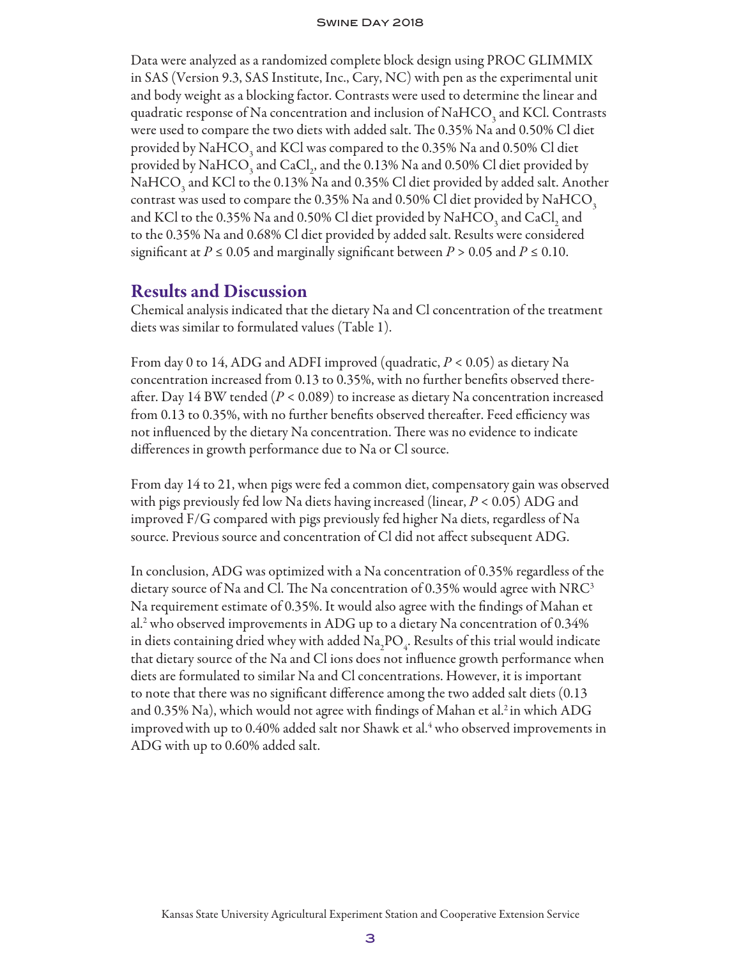#### Swine Day 2018

Data were analyzed as a randomized complete block design using PROC GLIMMIX in SAS (Version 9.3, SAS Institute, Inc., Cary, NC) with pen as the experimental unit and body weight as a blocking factor. Contrasts were used to determine the linear and quadratic response of Na concentration and inclusion of NaHCO<sub>3</sub> and KCl. Contrasts were used to compare the two diets with added salt. The 0.35% Na and 0.50% Cl diet provided by NaHCO<sub>3</sub> and KCl was compared to the 0.35% Na and 0.50% Cl diet provided by  $\mathrm{NaHCO}_{_3}$  and  $\mathrm{CaCl}_2$ , and the 0.13%  $\mathrm{Na}$  and 0.50% Cl diet provided by NaHCO<sub>3</sub> and KCl to the 0.13% Na and 0.35% Cl diet provided by added salt. Another contrast was used to compare the 0.35% Na and 0.50% Cl diet provided by  $\mathrm{NaHCO}_{3}$ and KCl to the 0.35% Na and 0.50% Cl diet provided by  $\mathrm{NaHCO}_{_3}$  and  $\mathrm{CaCl}_{_2}$  and to the 0.35% Na and 0.68% Cl diet provided by added salt. Results were considered significant at  $P \le 0.05$  and marginally significant between  $P > 0.05$  and  $P \le 0.10$ .

### Results and Discussion

Chemical analysis indicated that the dietary Na and Cl concentration of the treatment diets was similar to formulated values (Table 1).

From day 0 to 14, ADG and ADFI improved (quadratic, *P* < 0.05) as dietary Na concentration increased from 0.13 to 0.35%, with no further benefits observed thereafter. Day 14 BW tended (*P* < 0.089) to increase as dietary Na concentration increased from 0.13 to 0.35%, with no further benefits observed thereafter. Feed efficiency was not influenced by the dietary Na concentration. There was no evidence to indicate differences in growth performance due to Na or Cl source.

From day 14 to 21, when pigs were fed a common diet, compensatory gain was observed with pigs previously fed low Na diets having increased (linear, *P* < 0.05) ADG and improved F/G compared with pigs previously fed higher Na diets, regardless of Na source. Previous source and concentration of Cl did not affect subsequent ADG.

In conclusion, ADG was optimized with a Na concentration of 0.35% regardless of the dietary source of Na and Cl. The Na concentration of 0.35% would agree with  $NRC<sup>3</sup>$ Na requirement estimate of 0.35%. It would also agree with the findings of Mahan et al.2 who observed improvements in ADG up to a dietary Na concentration of 0.34% in diets containing dried whey with added  $\rm Na_{2}PO_{4}$ . Results of this trial would indicate that dietary source of the Na and Cl ions does not influence growth performance when diets are formulated to similar Na and Cl concentrations. However, it is important to note that there was no significant difference among the two added salt diets (0.13 and 0.35% Na), which would not agree with findings of Mahan et al.<sup>2</sup> in which ADG improved with up to 0.40% added salt nor Shawk et al. $\rm ^4$  who observed improvements in ADG with up to 0.60% added salt.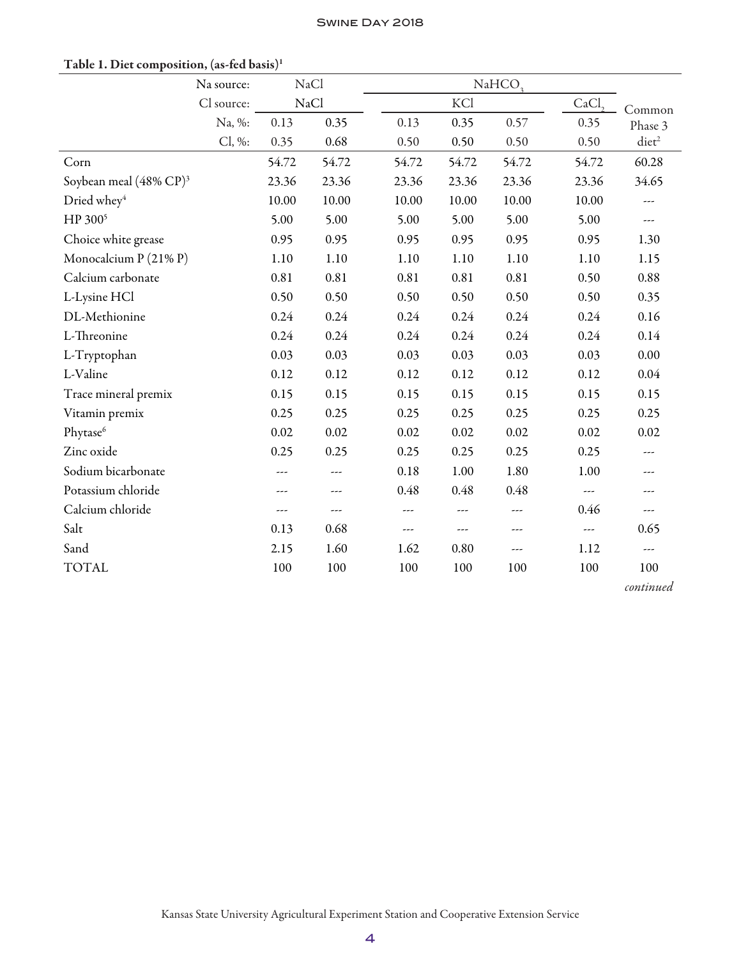|                                    | Na source: |       | NaCl                 |       | NaHCO <sub>3</sub> |       |                          |                 |  |  |
|------------------------------------|------------|-------|----------------------|-------|--------------------|-------|--------------------------|-----------------|--|--|
|                                    | Cl source: |       | NaCl                 |       | KCl                | CaCl  | Common                   |                 |  |  |
|                                    | Na, %:     | 0.13  | 0.35                 | 0.13  | 0.35               | 0.57  | 0.35                     | Phase 3         |  |  |
|                                    | Cl, %:     | 0.35  | 0.68                 | 0.50  | 0.50               | 0.50  | 0.50                     | $\text{dict}^2$ |  |  |
| Corn                               |            | 54.72 | 54.72                | 54.72 | 54.72              | 54.72 | 54.72                    | 60.28           |  |  |
| Soybean meal (48% CP) <sup>3</sup> |            | 23.36 | 23.36                | 23.36 | 23.36              | 23.36 | 23.36                    | 34.65           |  |  |
| Dried whey <sup>4</sup>            |            | 10.00 | 10.00                | 10.00 | 10.00              | 10.00 | 10.00                    | ---             |  |  |
| HP 300 <sup>5</sup>                |            | 5.00  | 5.00                 | 5.00  | 5.00               | 5.00  | 5.00                     | ---             |  |  |
| Choice white grease                |            | 0.95  | 0.95                 | 0.95  | 0.95               | 0.95  | 0.95                     | 1.30            |  |  |
| Monocalcium P (21% P)              |            | 1.10  | 1.10                 | 1.10  | 1.10               | 1.10  | 1.10                     | 1.15            |  |  |
| Calcium carbonate                  |            | 0.81  | 0.81                 | 0.81  | 0.81               | 0.81  | 0.50                     | 0.88            |  |  |
| L-Lysine HCl                       |            | 0.50  | 0.50                 | 0.50  | 0.50               | 0.50  | 0.50                     | 0.35            |  |  |
| DL-Methionine                      |            | 0.24  | 0.24                 | 0.24  | 0.24               | 0.24  | 0.24                     | 0.16            |  |  |
| L-Threonine                        |            | 0.24  | 0.24                 | 0.24  | 0.24               | 0.24  | 0.24                     | 0.14            |  |  |
| L-Tryptophan                       |            | 0.03  | 0.03                 | 0.03  | 0.03               | 0.03  | 0.03                     | 0.00            |  |  |
| L-Valine                           |            | 0.12  | 0.12                 | 0.12  | 0.12               | 0.12  | 0.12                     | 0.04            |  |  |
| Trace mineral premix               |            | 0.15  | 0.15                 | 0.15  | 0.15               | 0.15  | 0.15                     | 0.15            |  |  |
| Vitamin premix                     |            | 0.25  | 0.25                 | 0.25  | 0.25               | 0.25  | 0.25                     | 0.25            |  |  |
| Phytase <sup>6</sup>               |            | 0.02  | 0.02                 | 0.02  | 0.02               | 0.02  | 0.02                     | 0.02            |  |  |
| Zinc oxide                         |            | 0.25  | 0.25                 | 0.25  | 0.25               | 0.25  | 0.25                     | ---             |  |  |
| Sodium bicarbonate                 |            | ---   | ---                  | 0.18  | 1.00               | 1.80  | 1.00                     | ---             |  |  |
| Potassium chloride                 |            | ---   | $---$                | 0.48  | 0.48               | 0.48  | $\overline{\phantom{a}}$ |                 |  |  |
| Calcium chloride                   |            | ---   | $\sim$ $\sim$ $\sim$ | ---   | ---                | ---   | 0.46                     | ---             |  |  |
| Salt                               |            | 0.13  | 0.68                 | ---   | ---                | ---   | ---                      | 0.65            |  |  |
| Sand                               |            | 2.15  | 1.60                 | 1.62  | 0.80               | ---   | 1.12                     | ---             |  |  |
| <b>TOTAL</b>                       |            | 100   | 100                  | 100   | 100                | 100   | 100                      | 100             |  |  |
|                                    |            |       |                      |       |                    |       |                          | continued       |  |  |

### Table 1. Diet composition, (as-fed basis)1

Kansas State University Agricultural Experiment Station and Cooperative Extension Service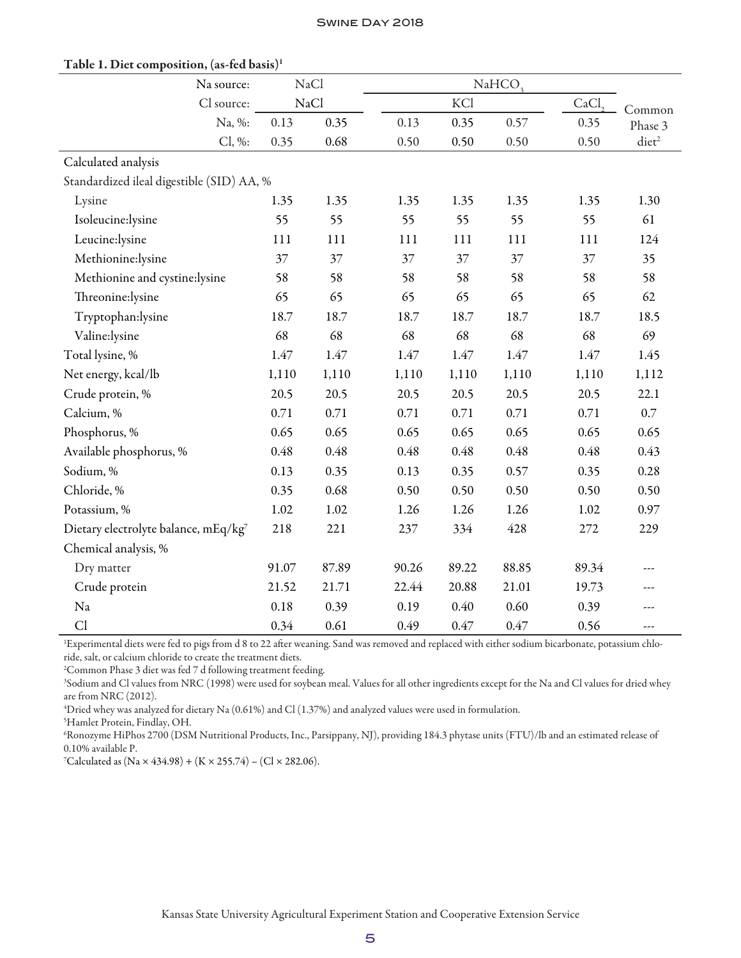| Na source:                                |       | NaCl  |       | NaHCO <sub>3</sub> |       |        |                 |  |  |  |
|-------------------------------------------|-------|-------|-------|--------------------|-------|--------|-----------------|--|--|--|
| Cl source:                                |       | NaCl  |       | KCl                | CaCl  | Common |                 |  |  |  |
| Na, %:                                    | 0.13  | 0.35  | 0.13  | 0.35               | 0.57  | 0.35   | Phase 3         |  |  |  |
| Cl, %:                                    | 0.35  | 0.68  | 0.50  | 0.50               | 0.50  | 0.50   | $\text{dict}^2$ |  |  |  |
| Calculated analysis                       |       |       |       |                    |       |        |                 |  |  |  |
| Standardized ileal digestible (SID) AA, % |       |       |       |                    |       |        |                 |  |  |  |
| Lysine                                    | 1.35  | 1.35  | 1.35  | 1.35               | 1.35  | 1.35   | 1.30            |  |  |  |
| Isoleucine:lysine                         | 55    | 55    | 55    | 55                 | 55    | 55     | 61              |  |  |  |
| Leucine:lysine                            | 111   | 111   | 111   | 111                | 111   | 111    | 124             |  |  |  |
| Methionine:lysine                         | 37    | 37    | 37    | 37                 | 37    | 37     | 35              |  |  |  |
| Methionine and cystine:lysine             | 58    | 58    | 58    | 58                 | 58    | 58     | 58              |  |  |  |
| Threonine:lysine                          | 65    | 65    | 65    | 65                 | 65    | 65     | 62              |  |  |  |
| Tryptophan:lysine                         | 18.7  | 18.7  | 18.7  | 18.7               | 18.7  | 18.7   | 18.5            |  |  |  |
| Valine:lysine                             | 68    | 68    | 68    | 68                 | 68    | 68     | 69              |  |  |  |
| Total lysine, %                           | 1.47  | 1.47  | 1.47  | 1.47               | 1.47  | 1.47   | 1.45            |  |  |  |
| Net energy, kcal/lb                       | 1,110 | 1,110 | 1,110 | 1,110              | 1,110 | 1,110  | 1,112           |  |  |  |
| Crude protein, %                          | 20.5  | 20.5  | 20.5  | 20.5               | 20.5  | 20.5   | 22.1            |  |  |  |
| Calcium, %                                | 0.71  | 0.71  | 0.71  | 0.71               | 0.71  | 0.71   | 0.7             |  |  |  |
| Phosphorus, %                             | 0.65  | 0.65  | 0.65  | 0.65               | 0.65  | 0.65   | 0.65            |  |  |  |
| Available phosphorus, %                   | 0.48  | 0.48  | 0.48  | 0.48               | 0.48  | 0.48   | 0.43            |  |  |  |
| Sodium, %                                 | 0.13  | 0.35  | 0.13  | 0.35               | 0.57  | 0.35   | 0.28            |  |  |  |
| Chloride, %                               | 0.35  | 0.68  | 0.50  | 0.50               | 0.50  | 0.50   | 0.50            |  |  |  |
| Potassium, %                              | 1.02  | 1.02  | 1.26  | 1.26               | 1.26  | 1.02   | 0.97            |  |  |  |
| Dietary electrolyte balance, mEq/kg7      | 218   | 221   | 237   | 334                | 428   | 272    | 229             |  |  |  |
| Chemical analysis, %                      |       |       |       |                    |       |        |                 |  |  |  |
| Dry matter                                | 91.07 | 87.89 | 90.26 | 89.22              | 88.85 | 89.34  |                 |  |  |  |
| Crude protein                             | 21.52 | 21.71 | 22.44 | 20.88              | 21.01 | 19.73  |                 |  |  |  |
| Na                                        | 0.18  | 0.39  | 0.19  | 0.40               | 0.60  | 0.39   | ---             |  |  |  |
| Cl                                        | 0.34  | 0.61  | 0.49  | 0.47               | 0.47  | 0.56   | ---             |  |  |  |

### Table 1. Diet composition, (as-fed basis)1

1 Experimental diets were fed to pigs from d 8 to 22 after weaning. Sand was removed and replaced with either sodium bicarbonate, potassium chloride, salt, or calcium chloride to create the treatment diets.

2 Common Phase 3 diet was fed 7 d following treatment feeding.

3 Sodium and Cl values from NRC (1998) were used for soybean meal. Values for all other ingredients except for the Na and Cl values for dried whey are from NRC (2012).

4 Dried whey was analyzed for dietary Na (0.61%) and Cl (1.37%) and analyzed values were used in formulation.

5 Hamlet Protein, Findlay, OH.

6 Ronozyme HiPhos 2700 (DSM Nutritional Products, Inc., Parsippany, NJ), providing 184.3 phytase units (FTU)/lb and an estimated release of 0.10% available P.

7 Calculated as (Na × 434.98) + (K × 255.74) – (Cl × 282.06).